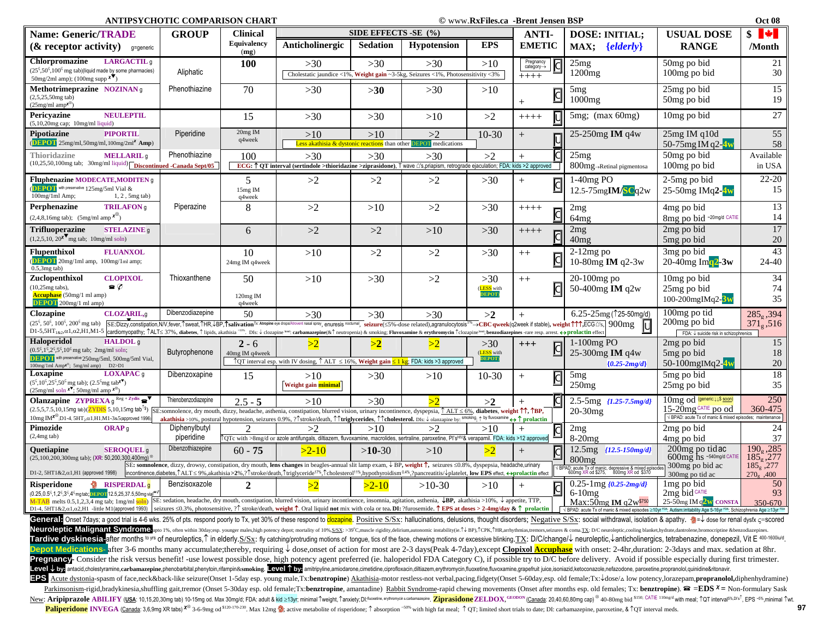**ANTIPSYCHOTIC COMPARISON CHART COMPARISON CHART COMPARISON COMPARISON CHART COMPARISON CHART** 

| Oct 08 |  |
|--------|--|
|        |  |

| <b>Name: Generic/TRADE</b>                                                                                                                                                                                                                                                                                                                                                                                                                                                                                                                                                                                                                                                                                                                                                                                                                                                                                                                         | ANTH STUMOTIC COME ARBON ULART<br><b>GROUP</b>                                                                                                                                                                                                                                                                                                                                                                                                                        | <b>Clinical</b>             |                                                                                                                                                                                                                                                                                                                                                                                                                                                          | SIDE EFFECTS -SE (%) |                                                                                  |                                     | © www.ixai iics.ca  -di ciit əcliscii dəl<br><b>ANTI-</b> | <b>DOSE: INITIAL;</b>                                                                       | <b>USUAL DOSE</b>                                                              | vu vo<br>$s$ $\uparrow$         |
|----------------------------------------------------------------------------------------------------------------------------------------------------------------------------------------------------------------------------------------------------------------------------------------------------------------------------------------------------------------------------------------------------------------------------------------------------------------------------------------------------------------------------------------------------------------------------------------------------------------------------------------------------------------------------------------------------------------------------------------------------------------------------------------------------------------------------------------------------------------------------------------------------------------------------------------------------|-----------------------------------------------------------------------------------------------------------------------------------------------------------------------------------------------------------------------------------------------------------------------------------------------------------------------------------------------------------------------------------------------------------------------------------------------------------------------|-----------------------------|----------------------------------------------------------------------------------------------------------------------------------------------------------------------------------------------------------------------------------------------------------------------------------------------------------------------------------------------------------------------------------------------------------------------------------------------------------|----------------------|----------------------------------------------------------------------------------|-------------------------------------|-----------------------------------------------------------|---------------------------------------------------------------------------------------------|--------------------------------------------------------------------------------|---------------------------------|
| $\&$ receptor activity)<br>q=generic                                                                                                                                                                                                                                                                                                                                                                                                                                                                                                                                                                                                                                                                                                                                                                                                                                                                                                               |                                                                                                                                                                                                                                                                                                                                                                                                                                                                       | <b>Equivalency</b><br>(mg)  | Anticholinergic                                                                                                                                                                                                                                                                                                                                                                                                                                          | <b>Sedation</b>      | <b>Hypotension</b>                                                               | <b>EPS</b>                          | <b>EMETIC</b>                                             | $\{elderly\}$<br>MAX;                                                                       | <b>RANGE</b>                                                                   | /Month                          |
| Chlorpromazine<br>LARGACTIL <sub>9</sub><br>$(25^{\circ}, 50^{\circ}, 100^{\circ})$ mg tab)(liquid made by some pharmacies)                                                                                                                                                                                                                                                                                                                                                                                                                                                                                                                                                                                                                                                                                                                                                                                                                        | Aliphatic                                                                                                                                                                                                                                                                                                                                                                                                                                                             | <b>100</b>                  | >30                                                                                                                                                                                                                                                                                                                                                                                                                                                      | $>30$                | >30                                                                              | >10                                 | $P$ regnancy<br>category $\rightarrow$                    | 25mg<br>1200mg                                                                              | 50mg po bid                                                                    | 21<br>30                        |
| $50mg/2ml$ amp); (100mg supp $\overline{\mathbf{x}}$ )                                                                                                                                                                                                                                                                                                                                                                                                                                                                                                                                                                                                                                                                                                                                                                                                                                                                                             |                                                                                                                                                                                                                                                                                                                                                                                                                                                                       |                             |                                                                                                                                                                                                                                                                                                                                                                                                                                                          |                      | Cholestatic jaundice <1%, Weight gain ~3-5kg, Seizures <1%, Photosensitivity <3% |                                     | $++++$                                                    |                                                                                             | 100mg po bid                                                                   |                                 |
| Methotrimeprazine NOZINAN <sub>g</sub><br>$(2,5,25,50mg$ tab)<br>$(25mg/ml$ amp <sup>x<sup>®</sup>)</sup>                                                                                                                                                                                                                                                                                                                                                                                                                                                                                                                                                                                                                                                                                                                                                                                                                                          | Phenothiazine                                                                                                                                                                                                                                                                                                                                                                                                                                                         | 70                          | $>30$                                                                                                                                                                                                                                                                                                                                                                                                                                                    | $>30$                | $>30$                                                                            | >10                                 | $\overline{c}$                                            | 5 <sub>mg</sub><br>$1000$ mg                                                                | 25mg po bid<br>50mg po bid                                                     | 15<br>19                        |
| Pericyazine<br><b>NEULEPTIL</b><br>$(5,10,20$ mg cap; 10mg/ml liquid)                                                                                                                                                                                                                                                                                                                                                                                                                                                                                                                                                                                                                                                                                                                                                                                                                                                                              |                                                                                                                                                                                                                                                                                                                                                                                                                                                                       | 15                          | >30                                                                                                                                                                                                                                                                                                                                                                                                                                                      | $>30$                | >10                                                                              | >2                                  | $+++++$                                                   | $5mg$ ; (max $60mg$ )                                                                       | 10 mg po bid                                                                   | 27                              |
| <b>PIPORTIL</b><br>Pipotiazine<br>$\left($ DEPOT 25mg/ml, 50mg/ml, 100mg/2ml <sup>*</sup> Amp)                                                                                                                                                                                                                                                                                                                                                                                                                                                                                                                                                                                                                                                                                                                                                                                                                                                     | Piperidine                                                                                                                                                                                                                                                                                                                                                                                                                                                            | 20mg IM<br>q4week           | >10<br>Less akathisia & dystonic reactions than other                                                                                                                                                                                                                                                                                                                                                                                                    | >10                  | >2<br><b>EPOT</b> medications                                                    | $10-30$                             | $^{+}$                                                    | 25-250 $mg$ IM q4w                                                                          | $25mg$ IM q $10d$<br>50-75mg IM q2-4w                                          | 55<br>58                        |
| Thioridazine<br><b>MELLARIL</b> <sub>a</sub>                                                                                                                                                                                                                                                                                                                                                                                                                                                                                                                                                                                                                                                                                                                                                                                                                                                                                                       | Phenothiazine                                                                                                                                                                                                                                                                                                                                                                                                                                                         | 100                         | $>30$                                                                                                                                                                                                                                                                                                                                                                                                                                                    | $>30$                | $>30$                                                                            | >2                                  | $+$                                                       | 25mg                                                                                        | $\overline{50}$ mg po bid                                                      | Available                       |
| (10,25,50,100mg tab; 30mg/ml liquid) <b>Discontinued -Canada Sept/05</b>                                                                                                                                                                                                                                                                                                                                                                                                                                                                                                                                                                                                                                                                                                                                                                                                                                                                           |                                                                                                                                                                                                                                                                                                                                                                                                                                                                       |                             | ECG: 1 QT interval (sertindole >thioridazine >ziprasidone), T wave (2's,priapism, retrograde ejaculation; FDA: kids >2 approved                                                                                                                                                                                                                                                                                                                          |                      |                                                                                  |                                     |                                                           | 800mg→Retinal pigmentosa                                                                    | 100mg po bid                                                                   | in USA                          |
| <b>Fluphenazine MODECATE, MODITEN g</b><br><b>DEPOT</b> with preservative 125mg/5ml Vial &<br>100mg/1ml Amp;<br>$1, 2$ , 5mg tab)                                                                                                                                                                                                                                                                                                                                                                                                                                                                                                                                                                                                                                                                                                                                                                                                                  |                                                                                                                                                                                                                                                                                                                                                                                                                                                                       | 5<br>15mg IM<br>q4week      | >2                                                                                                                                                                                                                                                                                                                                                                                                                                                       | >2                   | >2                                                                               | $>30$                               | $+$<br>$\overline{\mathbb{C}}$                            | $1-40mg$ PO<br>12.5-75mgIM/SCq2w                                                            | 2-5mg po bid<br>25-50mg IMq2-4w                                                | $22 - 20$<br>15                 |
| Perphenazine<br><b>TRILAFON</b> <sub>9</sub><br>$(2,4,8,16\text{mg}$ tab); $(5\text{mg/ml amp}^{\star\otimes})$                                                                                                                                                                                                                                                                                                                                                                                                                                                                                                                                                                                                                                                                                                                                                                                                                                    | Piperazine                                                                                                                                                                                                                                                                                                                                                                                                                                                            | 8                           | >2                                                                                                                                                                                                                                                                                                                                                                                                                                                       | >10                  | >2                                                                               | $>30$                               | $++++-$                                                   | 2mg<br>64 <sub>mg</sub>                                                                     | 4mg po bid<br>8mg po bid ~20mg/d CATIE                                         | 13<br>14                        |
| <b>Trifluoperazine</b><br><b>STELAZINE</b> <sub>q</sub><br>$(1,2,5,10, 20^{\circ})$ <sup>x mg</sup> tab; 10mg/ml soln)                                                                                                                                                                                                                                                                                                                                                                                                                                                                                                                                                                                                                                                                                                                                                                                                                             |                                                                                                                                                                                                                                                                                                                                                                                                                                                                       | 6                           | >2                                                                                                                                                                                                                                                                                                                                                                                                                                                       | >2                   | >10                                                                              | $>30$                               | $++++-$<br><b>d</b>                                       | 2mg<br>40mg                                                                                 | 2mg po bid<br>5mg po bid                                                       | 17<br>20                        |
| Flupenthixol<br><b>FLUANXOL</b><br><b>DEPOT</b> 20mg/1ml amp, 100mg/1ml amp;<br>$0.5,3mg$ tab)                                                                                                                                                                                                                                                                                                                                                                                                                                                                                                                                                                                                                                                                                                                                                                                                                                                     |                                                                                                                                                                                                                                                                                                                                                                                                                                                                       | 10<br>24mg IM q4week        | >10                                                                                                                                                                                                                                                                                                                                                                                                                                                      | >2                   | >2                                                                               | $>30$                               | $++$                                                      | $2-12mg$ po<br>10-80mg IM q2-3w                                                             | 3mg po bid<br>20-40 $mg$ Im $q^2$ -3w                                          | 43<br>24-40                     |
| Zuclopenthixol<br><b>CLOPIXOL</b><br>$\bullet$ $\emptyset$<br>$(10,25mg$ tabs),<br><b>Accuphase</b> (50mg/1 ml amp)<br><b>DEPOT</b> 200mg/1 ml amp)                                                                                                                                                                                                                                                                                                                                                                                                                                                                                                                                                                                                                                                                                                                                                                                                | Thioxanthene                                                                                                                                                                                                                                                                                                                                                                                                                                                          | 50<br>120mg IM<br>q4week    | $>10$                                                                                                                                                                                                                                                                                                                                                                                                                                                    | $>30$                | >2                                                                               | $>30$<br><b>LESS</b> with<br>DEPOT) | $++$                                                      | $20-100$ mg po<br>50-400mg IM q2w                                                           | 10mg po bid<br>25mg po bid<br>100-200mgIMq2-3w                                 | 34<br>74<br>35                  |
| <b>Clozapine</b><br><b>CLOZARIL,q</b>                                                                                                                                                                                                                                                                                                                                                                                                                                                                                                                                                                                                                                                                                                                                                                                                                                                                                                              | Dibenzodiazepine                                                                                                                                                                                                                                                                                                                                                                                                                                                      | 50                          | $>30$                                                                                                                                                                                                                                                                                                                                                                                                                                                    | $>30$                | $>30$                                                                            | >2                                  |                                                           | $6.25 - 25$ mg (125-50mg/d)                                                                 | $100$ mg po tid                                                                | $285_{\rm g}$ , 394             |
| (25 <sup>5</sup> , 50 <sup>5</sup> , 100 <sup>5</sup> , 200 <sup>5</sup> mg tab) SE:Dizzy,constipation, NV, fever, f sweat, THR, J-BP, Tsalivation <sup>Tx</sup> Attopine eye drops/Atrovent nassl spray, enurges is nochumal, seizure(≤5%-dose related),agranulocytosis <sup>1%</sup> $\rightarrow$ CBC                                                                                                                                                                                                                                                                                                                                                                                                                                                                                                                                                                                                                                           |                                                                                                                                                                                                                                                                                                                                                                                                                                                                       |                             |                                                                                                                                                                                                                                                                                                                                                                                                                                                          |                      |                                                                                  |                                     |                                                           | lū                                                                                          | 200mg po bid                                                                   | $371_g,516$                     |
| D1-5,5HT <sub>1&amp;2</sub> ,01,02,H1,M1-5  cardiomyopathy; 1ALT≤ 37%, diabetes, 1 lipids, akathisia <sup>&gt;10%</sup> . DIs: ↓ clozapine <sup>level</sup> : carbamazepine(&1 neutropenia) & smoking; Fluvoxamine & erythromycin 1clozapine <sup>level</sup> : elezapine leve                                                                                                                                                                                                                                                                                                                                                                                                                                                                                                                                                                                                                                                                     |                                                                                                                                                                                                                                                                                                                                                                                                                                                                       |                             |                                                                                                                                                                                                                                                                                                                                                                                                                                                          |                      |                                                                                  |                                     |                                                           |                                                                                             | FDA: $\downarrow$ suicide risk in schizophrenics                               |                                 |
| <b>Haloperidol</b><br>HALDOL <sub>9</sub><br>$(0.5^{\varsigma}, 1^{\varsigma}, 2^{\varsigma}, 5^{\varsigma}, 10^{\varsigma} \text{ mg} \text{ tab}; 2 \text{mg/ml soln};$<br><b>DEPOT</b> with preservative 250mg/5ml, 500mg/5ml Vial,                                                                                                                                                                                                                                                                                                                                                                                                                                                                                                                                                                                                                                                                                                             | Butyrophenone                                                                                                                                                                                                                                                                                                                                                                                                                                                         | $2 - 6$<br>40mg IM q4week   | >2                                                                                                                                                                                                                                                                                                                                                                                                                                                       | >2                   | >2                                                                               | $>30$<br>(LESS with<br>DEPOT)       | $+++$                                                     | $1-100mg$ PO<br>25-300mg IM q4w                                                             | 2mg po bid<br>5mg po bid                                                       | 15<br>18                        |
| 100mg/1ml Amp <sup>x®</sup> ; 5mg/ml amp) D2>D1                                                                                                                                                                                                                                                                                                                                                                                                                                                                                                                                                                                                                                                                                                                                                                                                                                                                                                    |                                                                                                                                                                                                                                                                                                                                                                                                                                                                       |                             | $\uparrow$ QT interval esp. with IV dosing, $\uparrow$ ALT $\leq$ 16%, Weight gain $\leq$ 1 kg; FDA: kids >3 approved                                                                                                                                                                                                                                                                                                                                    |                      |                                                                                  |                                     |                                                           | ${0.25\text{-}2mg/d}$                                                                       | 50-100 $mgIMq2$ -4w                                                            | 20                              |
| Loxapine<br>LOXAPAC <sup>q</sup><br>$(5^{\varsigma}, 10^{\varsigma}, 25^{\varsigma}, 50^{\varsigma})$ mg tab); $(2.5^{\varsigma})$ mg tab $\mathbf{x}^{\blacktriangledown}$<br>$(25mg/ml \text{ soln } x^{\nabla}; 50mg/ml \text{ amp } x^{\otimes})$                                                                                                                                                                                                                                                                                                                                                                                                                                                                                                                                                                                                                                                                                              | Dibenzoxapine                                                                                                                                                                                                                                                                                                                                                                                                                                                         | 15                          | >10<br>Weight gain minimal                                                                                                                                                                                                                                                                                                                                                                                                                               | >30                  | >10                                                                              | 10-30                               | $+$                                                       | 5mg<br>250mg                                                                                | 5mg po bid<br>25mg po bid                                                      | 18<br>35                        |
| Olanzapine ZYPREXA g Reg + Zydis $\bullet$                                                                                                                                                                                                                                                                                                                                                                                                                                                                                                                                                                                                                                                                                                                                                                                                                                                                                                         | Thienobenzodiazepine                                                                                                                                                                                                                                                                                                                                                                                                                                                  | $2.5 - 5$                   | >10                                                                                                                                                                                                                                                                                                                                                                                                                                                      | $>30$                | $\sqrt{2}$                                                                       | >2                                  |                                                           | 2.5-5mg {1.25-7.5mg/d}                                                                      | $10mg$ od $(generic:11$ soon)$                                                 | 250                             |
| $(2.5,5,7.5,10,15$ mg tab) $(\overline{ZYDIS}5,10,15$ mg tab <sup>1s</sup> ) SE:somnolence, dry mouth, dizzy, headache, asthenia, constipation, blurred vision, urinary incontinence, dyspepsia, $\uparrow$ ALT $\leq$ 6%, diabetes, weight $\uparrow \uparrow$ , TBP,<br>$10\text{mg}\ \text{IM}^{\chi\otimes}$ :D1-4, $5\text{HT}_2$ . $\alpha$ 1,H1,M1-3&5(approved 1996)                                                                                                                                                                                                                                                                                                                                                                                                                                                                                                                                                                       |                                                                                                                                                                                                                                                                                                                                                                                                                                                                       |                             | akathisia >10%, postural hypotension, seizures 0.9%, ?istroke/death, întriglycerides, încholesterol. Dis: ↓olanzapine by: smoking, ↑by fluvoxamine <> îprolactin                                                                                                                                                                                                                                                                                         |                      |                                                                                  |                                     |                                                           | 20-30mg                                                                                     | 15-20mg CATIE po od<br>√ BPAD: acute Tx of manic & mixed episodes; maintenance | 360-475                         |
| Pimozide<br>ORAP <sub>q</sub>                                                                                                                                                                                                                                                                                                                                                                                                                                                                                                                                                                                                                                                                                                                                                                                                                                                                                                                      | Diphenylbutyl                                                                                                                                                                                                                                                                                                                                                                                                                                                         | $\mathcal{D}_{\mathcal{L}}$ | >2                                                                                                                                                                                                                                                                                                                                                                                                                                                       | >10                  | >2                                                                               | >10                                 | lا                                                        | 2mg                                                                                         | 2mg po bid                                                                     | 24                              |
| $(2,4mg$ tab)                                                                                                                                                                                                                                                                                                                                                                                                                                                                                                                                                                                                                                                                                                                                                                                                                                                                                                                                      | piperidine                                                                                                                                                                                                                                                                                                                                                                                                                                                            |                             | ÎQTc with >8mg/d or azole antifungals, diltiazem, fluvoxamine, macrolides, sertraline, paroxetine, Pl's <sup>нιν</sup> & verapamil. FDA: kids >12 approved                                                                                                                                                                                                                                                                                               |                      |                                                                                  |                                     |                                                           | $8-20mg$                                                                                    | 4 <sub>mg</sub> po bid                                                         | 37                              |
| Quetiapine<br><b>SEROQUEL</b> <sub>9</sub><br>$(25,100,200,300$ mg tab); (XR: 50,200,300,400mq) <sup>®</sup>                                                                                                                                                                                                                                                                                                                                                                                                                                                                                                                                                                                                                                                                                                                                                                                                                                       | Dibenzothiazepine                                                                                                                                                                                                                                                                                                                                                                                                                                                     | $60 - 75$                   | $>2-10$                                                                                                                                                                                                                                                                                                                                                                                                                                                  | $>10-30$             | >10                                                                              | >2                                  | $^{+}$                                                    | 12.5mg $\{12.5 - 150mg/d\}$<br>800 <sub>mg</sub>                                            | 200 <sub>mg</sub> po tidac<br>600mg hs ~540mg/d CATIE                          | 190, 285<br>185, 277            |
| D1-2, 5HT1&2, $\alpha$ 1,H1 (approved 1998)                                                                                                                                                                                                                                                                                                                                                                                                                                                                                                                                                                                                                                                                                                                                                                                                                                                                                                        |                                                                                                                                                                                                                                                                                                                                                                                                                                                                       |                             | SE: somnolence, dizzy, drowsy, constipation, dry mouth, lens changes in beagles-annual slit lamp exam, $\downarrow$ BP, weight $\uparrow$ , seizures $\leq 0.8\%$ , dyspepsia, headache,urinary<br> incontinence,diabetes, ^ALT < 9%, akathisia>2%,?^stroke/death, ^triglyceride <sup>17%</sup> , ^cholesterol <sup>11%</sup> , hypothyroidism <sup>0.4%</sup> ,?pancreatitis/ $\downarrow$ platelet, low EPS effect. $\leftrightarrow$ prolactin effect |                      |                                                                                  |                                     |                                                           | BPAD: acute Tx of manic, depressive & mixed episode<br>600mg XR od \$275, 800mg XR od \$370 | 300mg po bid ac<br>300mg po tid ac                                             | $185_{\rm g}$ , 277<br>270, 400 |
| RISPERDAL <sub>9</sub><br>Risperidone<br>(0.25,0.5 <sup>c</sup> ,1,2 <sup>c</sup> ,3 <sup>c</sup> ,4 <sup>c</sup> mg tab; DEPOT 12.5,25,37.5,50mg via                                                                                                                                                                                                                                                                                                                                                                                                                                                                                                                                                                                                                                                                                                                                                                                              | Benzisoxazole                                                                                                                                                                                                                                                                                                                                                                                                                                                         | $\overline{2}$              | >2                                                                                                                                                                                                                                                                                                                                                                                                                                                       | $>2-10$              | $>10-30$                                                                         | $>10$                               | $^+$<br>$\overline{c}$                                    | $\sqrt{10.25-1} \text{mg}$ {0.25-2mg/d}<br>$6-10mg$                                         | 1mg po bid<br>2mg bid CATIE                                                    | 50<br>93                        |
| M-TAB melts 0.5,1,2,3,4 mg tab; Img/ml soln) SE: sedation, headache, dry mouth, constipation, blurred vision, urinary incontinence, insomnia, agitation, asthenia, $\blacktriangleright$ BP, akathisia >10%, $\downarrow$ appetite, TTP,                                                                                                                                                                                                                                                                                                                                                                                                                                                                                                                                                                                                                                                                                                           |                                                                                                                                                                                                                                                                                                                                                                                                                                                                       |                             |                                                                                                                                                                                                                                                                                                                                                                                                                                                          |                      |                                                                                  |                                     |                                                           | Max:50mg IM $q2w$ <sup>\$750</sup>                                                          | $25 - 50$ mg IM q $2w$ CONSTA                                                  | $350 - 670$                     |
| D1-4, 5HT1&2, $\alpha$ 1, $\alpha$ 2,H1 -little M1(approved 1993) seizures ≤0.3%, photosensitive, ? $\uparrow$ stroke/death, weight $\uparrow$ . Oral liquid not mix with cola or tea. DI: ?furosemide. $\uparrow$ EPS at doses > 2-4mg/day & $\uparrow$ prolac<br>V BPAD: acute Tx of manic & mixed episodes ≥10yr FDA; Autism:irritability Age 5-16yr FDA; Schizophrenia Age ≥13yr FD<br>General Onset 7days: a good trial is 4-6 wks. 25% of pts. respond poorly to Tx, yet 30% of these respond to clozapine. Positive S/Sx: hallucinations, delusions, thought disorders; Negative S/Sx: social withdrawal, isolati                                                                                                                                                                                                                                                                                                                           |                                                                                                                                                                                                                                                                                                                                                                                                                                                                       |                             |                                                                                                                                                                                                                                                                                                                                                                                                                                                          |                      |                                                                                  |                                     |                                                           |                                                                                             |                                                                                |                                 |
| Neuroleptic Malignant Syndrome. upto 1%, often within 30day;esp. younger males,high potency depot; mortality of 10%,S/SX: >39℃,muscle rigidity,delirium,autonomic instability(ie.↑↓BP),↑CPR,↑HR,arrhythmias,tremors,seizures<br>Tardive dyskinesia-after months <sup>to yrs</sup> of neuroleptics, 1 in elderly.S/Sx: fly catching/protruding motions of tongue, tics of the face, chewing motions or excessive blinking.TX: D/C/change/↓ neuroleptic,↓anticholinergic<br><b>Depot Medications-</b> after 3-6 months many accumulate;thereby, requiring ↓ dose,onset of action for most are 2-3 days(Peak 4-7day),except Clopixol <b>Accuphase</b> with onset: 2-4hr,duration: 2-3days and max. sedation at 8hr.<br>Tegnancy- Consider the risk versus benefit! -use lowest possible dose, high potency agent preferred (ie. haloperidol FDA Category C), if possible try to D/C before delivery. Avoid if possible especially during first trimes |                                                                                                                                                                                                                                                                                                                                                                                                                                                                       |                             |                                                                                                                                                                                                                                                                                                                                                                                                                                                          |                      |                                                                                  |                                     |                                                           |                                                                                             |                                                                                |                                 |
| Level ↓ by-antacid,cholestyramine,carbamazepine,phenobarbital,phenytoin,rifampin&smoking. Level 1 by-amitripyline,amiodarone,cimetidine,ciprofloxacin,diltiazem,erythromycin,fluoxetine,fluoxetine,fluoxexmine,grapefruit jui                                                                                                                                                                                                                                                                                                                                                                                                                                                                                                                                                                                                                                                                                                                      |                                                                                                                                                                                                                                                                                                                                                                                                                                                                       |                             |                                                                                                                                                                                                                                                                                                                                                                                                                                                          |                      |                                                                                  |                                     |                                                           |                                                                                             |                                                                                |                                 |
|                                                                                                                                                                                                                                                                                                                                                                                                                                                                                                                                                                                                                                                                                                                                                                                                                                                                                                                                                    | acute dystonia-spasm of face,neck&back-like seizure(Onset 1-5day esp. young male,Tx:benztropine) Akathisia-motor restless-not verbal,pacing,fidgety(Onset 5-60day,esp. old female;Tx:\dose/ $\Delta$ low potency,lorazepam,proprano<br>Parkinsonism-rigid, bradykinesia, shuffling gait, tremor (Onset 5-30day esp. old female; Tx: benztropine, amantadine) Rabbit Syndrome-rapid chewing movements (Onset after months esp. old females; Tx: benztropine). EEDS x = |                             |                                                                                                                                                                                                                                                                                                                                                                                                                                                          |                      |                                                                                  |                                     |                                                           |                                                                                             |                                                                                |                                 |

New: Aripiprazole ABILIFY (USA: 10,15,20,30mg tab) 10-15mg od. Max 30mg/d; FDA: adult & kid ≥13yr; minimal ↑weight, ↑anxiety; D!:<sup>fluoxetine, en/thromycin s catamazespine,</sup> Ziprasidone ZELDOX, GEODOX, GEODON, GEORDO 20,80 Paliperidone INVEGA (Canada: 3,6,9mg XR tabs)  $X^{\otimes}$  3-6-9mg od \$120-170-230. Max 12mg of significative metabolite of risperidone; 1 absorption ~50% with high fat meal; 1 QT; limited short trials to date; D1: carbamazepi